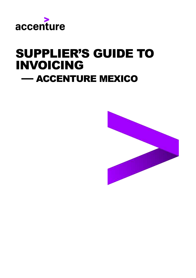

# SUPPLIER'S GUIDE TO INVOICING — ACCENTURE MEXICO

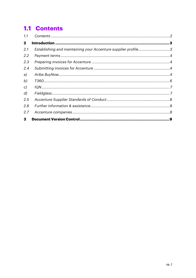# <span id="page-1-0"></span>**1.1 Contents**

| 1.1          |                                                               |  |
|--------------|---------------------------------------------------------------|--|
| $\mathbf{2}$ |                                                               |  |
| 2.1          | Establishing and maintaining your Accenture supplier profile3 |  |
| 2.2          |                                                               |  |
| 2.3          |                                                               |  |
| 2.4          |                                                               |  |
| a)           |                                                               |  |
| b)           |                                                               |  |
| c)           |                                                               |  |
| d)           |                                                               |  |
| 2.5          |                                                               |  |
| 2.6          |                                                               |  |
| 2.7          |                                                               |  |
| 3            |                                                               |  |
|              |                                                               |  |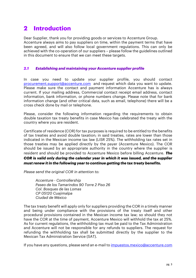# <span id="page-2-0"></span>**2 Introduction**

Dear Supplier, thank you for providing goods or services to Accenture Group. Accenture always aims to pay suppliers on time, within the payment terms that have been agreed, and will also follow local government regulations. This can only be achieved with the co-operation of our suppliers – please follow the guidelines outlined in this document to ensure that we can meet these targets.

# <span id="page-2-1"></span>*2.1 Establishing and maintaining your Accenture supplier profile*

In case you need to update your supplier profile, you should contact [procurement.support@accenture.com](mailto:procurement.support@accenture.com) and request which data you want to update. Please make sure the contact and payment information Accenture has is always current. If your mailing address, Commercial contact receipt email address, contact information, bank information, or phone numbers change. Please note that for bank information change (and other critical data, such as email, telephone) there will be a cross check done by mail or telephone.

Please, consider the following information regarding the requirements to obtain double taxation tax treaty benefits in case Mexico has celebrated the treaty with the country where you are resident.

Certificate of residence (COR) for tax purposes is required to be entitled to the benefits of tax treaties and avoid double taxation; in said treaties, rates are lower than those indicated in the Mexican income tax law (LISR 25%). The withholding tax rates set in those treaties may be applied directly by the payer (Accenture Mexico). The COR should be issued by an appropriate authority in the country where the supplier is resident and should be provided to Accenture Mexico before billing Accenture. *The COR is valid only during the calendar year in which it was issued, and the supplier must renew it in the following year to continue getting the tax treaty benefits.* 

*Please send the original COR in attention to:* 

*Accenture - Controllership Paseo de los Tamarindos 90 Torre 2 Piso 26 Col. Bosques de las Lomas CP 05120 Cuajimalpa Ciudad de México* 

The tax treaty benefit will apply only for suppliers providing the COR in a timely manner and being under compliance with the provisions of the treaty itself and other procedural provisions contained in the Mexican income tax law; so should they not have the COR at the time of payment, Accenture Mexico will withhold the tax at 25%. As for current regulations, the withholding tax must be paid to the Tax Administration and Accenture will not be responsible for any refunds to suppliers. The request for refunding the withholding tax shall be submitted directly by the supplier to the Mexican Tax Administration Service (SAT).

If you have any questions, please send an e-mail t[o impuestos.mexico@accenture.com](mailto:impuestos.mexico@accenture.com)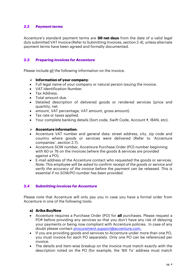# <span id="page-3-0"></span>*2.2 Payment terms*

Accenture's standard payment terms are **30 net days** from the date of a valid legal duly submitted VAT Invoice (Refer to Submitting Invoices, section 2.4), unless alternate payment terms have been agreed and formally documented.

# <span id="page-3-1"></span>*2.3 Preparing invoices for Accenture*

Please include all the following information on the invoice.

### ➢ **Information of your company**:

- Full legal name of your company or natural person issuing the invoice.
- VAT Identification Number.
- Tax Address.
- Total amount due.
- Detailed description of delivered goods or rendered services (price and quantity, net
- amount, VAT percentage, VAT amount, gross amount).
- Tax rate or taxes applied.
- Your complete banking details (Sort code, Swift Code, Account #, IBAN, etc).

# ➢ **Accenture information**:

- Accenture VAT number and general data: street address, city, zip code and country where goods or services were delivered (Refer to 'Accenture companies', section 2.7).
- Accenture SOW number, Accenture Purchase Order (PO) number beginning with 60 or 76 on the invoices (where the goods & services are provided against a PO).
- E-mail address of the Accenture contact who requested the goods or services. *Note: This employee will be asked to confirm receipt of the goods or service and verify the accuracy of the invoice before the payment can be released. This is essential if no SOW/PO number has been provided.*

# <span id="page-3-2"></span>*2.4 Submitting invoices for Accenture*

Please note that Accenture will only pay you in case you have a formal order from Accenture in one of the following tools:

### <span id="page-3-3"></span>**a) Ariba BuyNow**

- Accenture requires a Purchase Order (PO) for **all** purchases. Please request a PO# before providing any services so that you don't have any risk of delaying your payments or being now compliant with Accenture policies. In case of any doubt please contact [procurement.support@accenture.com.](mailto:procurement.support@accenture.com)
- If you are providing goods and services to Accenture under more than one PO, you must invoice for each PO separately. Only one PO can be referenced per invoice.
- The details and item-wise breakup on the invoice must match exactly with the description noted on the PO (for example, the 'Bill To' address must match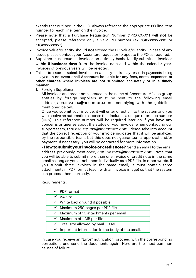exactly that outlined in the PO). Always reference the appropriate PO line item number for each line item on the invoice.

- Please note that a Purchase Requisition Number ("PRXXXXX") will **not** be accepted, please reference only a valid PO number (ex "**60xxxxxxxx**" or "**76xxxxxxxx**").
- Invoice value/quantity should **not** exceed the PO value/quantity. In case of any issues please contact your Accenture requestor to update the PO as required.
- Suppliers must issue all invoices on a timely basis. Kindly submit all invoices within **5 business days** from the invoice date and within the calendar year. Invoices of previous years will be rejected.
- Failure to issue or submit invoices on a timely basis may result in payments being delayed. **In no event shall Accenture be liable for any fees, costs, expenses or other charges where invoices are not submitted accurately or in a timely manner.**
	- 1. Foreign Suppliers:

All invoices and credit notes issued in the name of Accenture México group entities by foreign suppliers must be sent to the following email address, [acn.inv.mex@accenture.com](mailto:acn.inv.mex@accenture.com), complying with the guidelines mentioned below:

Once you submit your invoice, it will enter directly into the system and you will receive an automatic response that includes a unique reference number (URN). This reference number will be required later on if you have any concerns or queries about the status of your invoice, when contacting our support team, thru [asc.rtp.mx@accenture.com](mailto:asc.rtp.mx@accenture.com). Please take into account that the correct reception of your invoice indicates that it will be analyzed by the responsible team, but this does not guarantee its approval and/or payment. If necessary, you will be contacted for more information.

**- How to submit your invoice or credit note?** Send an email to the email address previously mentioned, [acn.inv.mex@accenture.com](mailto:acn.inv.mex@accenture.com). Note that you will be able to submit more than one invoice or credit note in the same email as long as you attach them individually as a PDF file. In other words, if you submit three invoices in the same email, it must contain three attachments in PDF format (each with an invoice image) so that the system can process them correctly.

Requirements:

| $\checkmark$ PDF format                                      |
|--------------------------------------------------------------|
| $\sqrt{}$ A4 size                                            |
| $\checkmark$ White background if possible                    |
| $\checkmark$ Maximum 250 pages per PDF file                  |
| $\checkmark$ Maximum of 10 attachments per email             |
| $\checkmark$ Maximum of 1 MB per file                        |
| $\checkmark$ Total size allowed by mail: 10 MB               |
| $\checkmark$ Important information in the body of the email. |
|                                                              |

In case you receive an "Error" notification, proceed with the corresponding corrections and send the documents again. Here are the most common causes of failure: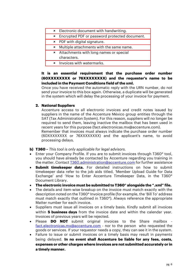|              | <b>*</b> Electronic document with handwriting. |
|--------------|------------------------------------------------|
| $\mathsf{x}$ | Encrypted PDF or password protected document.  |
|              | × PDF with digital signature.                  |
| ×            | Multiple attachments with the same name.       |
| ×            | Attachments with long names or special         |
|              | characters.                                    |
|              | <b>*</b> Invoices with watermarks.             |

**It is an essential requirement that the purchase order number (60XXXXXXXX or 76XXXXXXXX) and the requester's name to be included in the Payment Conditions field of the xml.**

Once you have received the automatic reply with the URN number, do not send your invoice to this box again. Otherwise, a duplicate will be generated in the system which will delay the processing of your invoice for payment.

# **2. National Suppliers**

Accenture access to all electronic invoices and credit notes issued by suppliers in the name of the Accenture México group entities through the SAT (Tax Administration System). For this reason, suppliers will no longer be required to send them, leaving inactive the mailbox that has been used in recent years for this purpose (fact.electronicas.mx@accenture.com).

Remember that invoices must always indicate the purchase order number (60XXXXXXXX or 76XXXXXXXX) and the applicant's name, to avoid processing delays.

<span id="page-5-0"></span>**b) T360 –** *This tool is only applicable for legal advisors.*

- Enter your Company Profile. If you are to submit invoices through T360° tool, you should have already be contacted by Accenture regarding you training in the matter. Contact **T360.administration@accenture.com** for further assistance
- **Submit timekeeper data.** For detailed instructions on how to submit timekeeper data refer to the job aids titled, 'Member Upload Guide for Data Exchange' and 'How to Enter Accenture Timekeeper Data, in the T360° Document Library.
- **The electronic invoice must be submitted to T360° alongside the ".xml" file.**
- The details and item-wise breakup on the invoice must match exactly with the description noted on the T360° Invoice profile (for example, the 'Bill To' address must match exactly that outlined in T360°). Always reference the appropriate Matter number for each invoice.
- Suppliers must issue all invoices on a timely basis. Kindly submit all invoices within **5 business days** from the invoice date and within the calendar year. Invoices of previous years will be rejected.
- Please **DO NOT** submit original invoices to the Share mailbox [fact.electronicas.mx@accenture.com](mailto:fact.electronicas.mx@accenture.com) - nor to the person who requested the goods or services. If your requestor needs a copy, they can see it in the system.
- Failure to issue or submit invoices on a timely basis may result in payments being delayed. **In no event shall Accenture be liable for any fees, costs, expenses or other charges where invoices are not submitted accurately or in a timely manner.**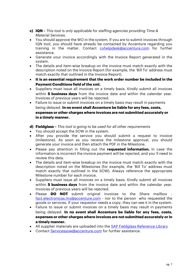- <span id="page-6-0"></span>**c) IQN –** *This tool is only applicable for staffing agencies providing Time & Material Services.*
- You should approve the WO in the system. If you are to submit invoices through IQN tool, you should have already be contacted by Accenture regarding you training in the matter. Contact *[cxhelpdesk@accenture.com](mailto:cxhelpdesk@accenture.com)* for further assistance.
- Generate your invoice accordingly with the Invoice Report generated in the system.
- The details and item-wise breakup on the invoice must match exactly with the description noted on the Invoice Report (for example, the 'Bill To' address must match exactly that outlined in the Invoice Report).
- **It is an essential requirement that the work order number be included in the Payment Conditions field of the xml.**
- Suppliers must issue all invoices on a timely basis. Kindly submit all invoices within **5 business days** from the invoice date and within the calendar year. Invoices of previous years will be rejected.
- Failure to issue or submit invoices on a timely basis may result in payments being delayed. **In no event shall Accenture be liable for any fees, costs, expenses or other charges where invoices are not submitted accurately or in a timely manner.**
- <span id="page-6-1"></span>**d) Fieldglass –** *This tool is going to be used for all other requirements*
- You should accept the SOW in the system.
- After you provide the service you should submit a request to invoice (milestone). As soon as you receive the milestone approval, you should generate your invoice and then attach the PDF in the Milestone.
- Please pay attention in filling out the **requested information.** In case the information is incorrect the invoice payment will be rejected, and you´ll need to review this data.
- The details and item-wise breakup on the invoice must match exactly with the description noted on the Milestones (for example, the 'Bill To' address must match exactly that outlined in the SOW). Always reference the appropriate Milestone number for each invoice.
- Suppliers must issue all invoices on a timely basis. Kindly submit all invoices within **5 business days** from the invoice date and within the calendar year. Invoices of previous years will be rejected.
- Please **DO NOT** submit original invoices to the Share mailbox [fact.electronicas.mx@accenture.com](mailto:fact.electronicas.mx@accenture.com) - nor to the person who requested the goods or services. If your requestor needs a copy, they can see it in the system.
- Failure to issue or submit invoices on a timely basis may result in payments being delayed. **In no event shall Accenture be liable for any fees, costs, expenses or other charges where invoices are not submitted accurately or in a timely manner.**
- All supplier materials are uploaded into the [SAP Fieldglass Reference Library](https://www.fieldglass.net/document_list.do)
- Contact [Servicessow@accenture.com](mailto:Servicessow@accenture.com) for further assistance.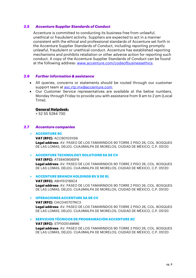#### <span id="page-7-0"></span>*2.5 Accenture Supplier Standards of Conduct*

Accenture is committed to conducting its business free from unlawful, unethical or fraudulent activity. Suppliers are expected to act in a manner consistent with the ethical and professional standards of Accenture set forth in the Accenture Supplier Standards of Conduct, including reporting promptly unlawful, fraudulent or unethical conduct. Accenture has established reporting mechanisms and prohibits retaliation or other adverse action for reporting such conduct. A copy of the Accenture Supplier Standards of Conduct can be found at the following address: [www.accenture.com/codeofbusinessethics.](http://www.accenture.com/codeofbusinessethics)

### <span id="page-7-1"></span>*2.6 Further information & assistance*

- All queries, concerns or statements should be routed through our customer support team at [asc.rtp.mx@accenture.com.](mailto:asc.rtp.mx@accenture.com)
- Our Customer Service representatives are available at the below numbers, Monday through Friday to provide you with assistance from 9 am to 2 pm (Local Time).

#### **General Helpdesk:**

+ 52 55 5284 730

#### <span id="page-7-2"></span>*2.7 Accenture companies*

#### ➢ **ACCENTURE SC**

#### **VAT (RFC)**: ACC901031IS6

**Legal address**: AV. PASEO DE LOS TAMARINDOS 90 TORRE 2 PISO 26, COL. BOSQUES DE LAS LOMAS, DELEG. CUAJIMALPA DE MORELOS, CIUDAD DE MÉXICO, C.P. 05120

#### ➢ **ACCENTURE TECHNOLOGY SOLUTIONS SA DE CV**

**VAT (RFC)**: ATS9409065F6 **Legal address**: AV. PASEO DE LOS TAMARINDOS 90 TORRE 2 PISO 26, COL. BOSQUES DE LAS LOMAS, DELEG. CUAJIMALPA DE MORELOS, CIUDAD DE MÉXICO, C.P. 05120

#### ➢ **ACCENTURE BRANCH HOLDINGS BV S DE RL**

**VAT (RFC)**: ABH1512189Z4 **Legal address**: AV. PASEO DE LOS TAMARINDOS 90 TORRE 2 PISO 26, COL. BOSQUES DE LAS LOMAS, DELEG. CUAJIMALPA DE MORELOS, CIUDAD DE MÉXICO, C.P. 05120

#### ➢ **OPERACIONES ACCENTURE SA DE CV**

**VAT (RFC)**: OAC040707NC3

**Legal address**: AV. PASEO DE LOS TAMARINDOS 90 TORRE 2 PISO 26, COL. BOSQUES DE LAS LOMAS, DELEG. CUAJIMALPA DE MORELOS, CIUDAD DE MÉXICO, C.P. 05120

#### ➢ **SERVICIOS TÉCNICOS DE PROGRAMACIÓN ACCENTURE SC**

#### **VAT (RFC)**: STP100514MM6 **Legal address**: AV. PASEO DE LOS TAMARINDOS 90 TORRE 2 PISO 26, COL. BOSQUES DE LAS LOMAS, DELEG. CUAJIMALPA DE MORELOS, CIUDAD DE MÉXICO, C.P. 05120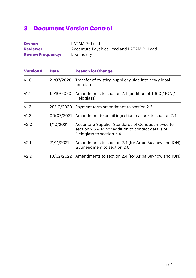# <span id="page-8-0"></span>**3 Document Version Control**

| <b>Owner:</b>            | LATAM P+ Lead                             |
|--------------------------|-------------------------------------------|
| <b>Reviewer:</b>         | Accenture Payables Lead and LATAM P+ Lead |
| <b>Review Frequency:</b> | Bi-annually                               |

| <b>Version#</b>  | <b>Date</b> | <b>Reason for Change</b>                                                                                                            |
|------------------|-------------|-------------------------------------------------------------------------------------------------------------------------------------|
| v1.0             | 21/07/2020  | Transfer of existing supplier guide into new global<br>template                                                                     |
| V1.1             | 15/10/2020  | Amendments to section 2.4 (addition of T360 / IQN /<br>Fieldglass)                                                                  |
| v1.2             | 29/10/2020  | Payment term amendment to section 2.2                                                                                               |
| v1.3             | 06/07/2021  | Amendment to email ingestion mailbox to section 2.4                                                                                 |
| v2.0             | 1/10/2021   | Accenture Supplier Standards of Conduct moved to<br>section 2.5 & Minor addition to contact details of<br>Fieldglass to section 2.4 |
| v2.1             | 21/11/2021  | Amendments to section 2.4 (for Ariba Buynow and IQN)<br>& Amendment to section 2.6                                                  |
| V <sub>2.2</sub> |             | 10/02/2022 Amendments to section 2.4 (for Ariba Buynow and IQN)                                                                     |